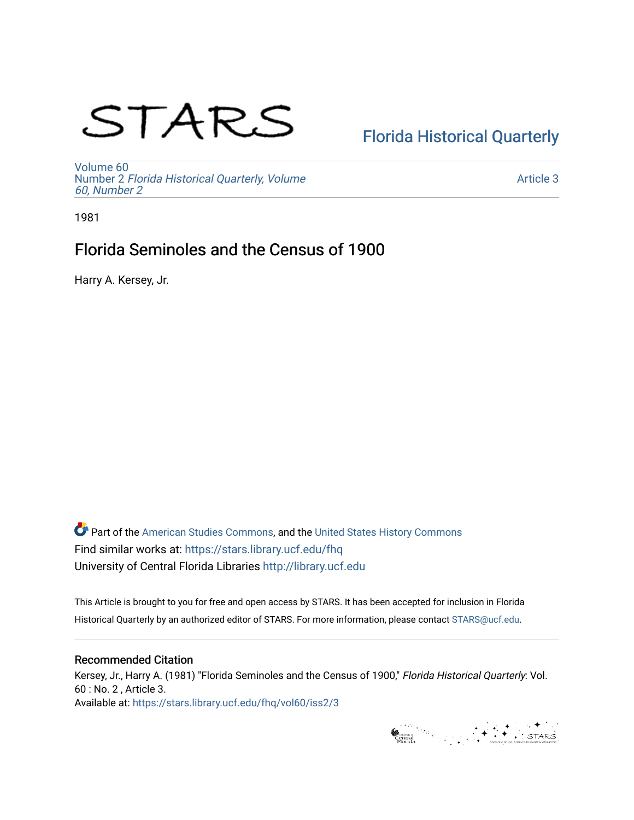# STARS

# [Florida Historical Quarterly](https://stars.library.ucf.edu/fhq)

[Volume 60](https://stars.library.ucf.edu/fhq/vol60) Number 2 [Florida Historical Quarterly, Volume](https://stars.library.ucf.edu/fhq/vol60/iss2)  [60, Number 2](https://stars.library.ucf.edu/fhq/vol60/iss2)

[Article 3](https://stars.library.ucf.edu/fhq/vol60/iss2/3) 

1981

# Florida Seminoles and the Census of 1900

Harry A. Kersey, Jr.

**C** Part of the [American Studies Commons](http://network.bepress.com/hgg/discipline/439?utm_source=stars.library.ucf.edu%2Ffhq%2Fvol60%2Fiss2%2F3&utm_medium=PDF&utm_campaign=PDFCoverPages), and the United States History Commons Find similar works at: <https://stars.library.ucf.edu/fhq> University of Central Florida Libraries [http://library.ucf.edu](http://library.ucf.edu/) 

This Article is brought to you for free and open access by STARS. It has been accepted for inclusion in Florida Historical Quarterly by an authorized editor of STARS. For more information, please contact [STARS@ucf.edu.](mailto:STARS@ucf.edu)

# Recommended Citation

Kersey, Jr., Harry A. (1981) "Florida Seminoles and the Census of 1900," Florida Historical Quarterly: Vol. 60 : No. 2 , Article 3. Available at: [https://stars.library.ucf.edu/fhq/vol60/iss2/3](https://stars.library.ucf.edu/fhq/vol60/iss2/3?utm_source=stars.library.ucf.edu%2Ffhq%2Fvol60%2Fiss2%2F3&utm_medium=PDF&utm_campaign=PDFCoverPages) 

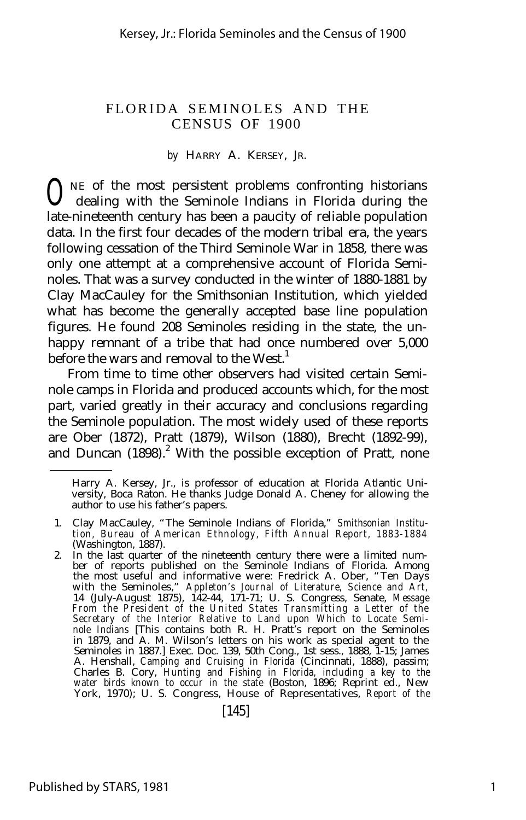#### *by* HARRY A. KERSEY, JR.

**O**NE of the most persistent problems confronting historians dealing with the Seminole Indians in Florida during the dealing with the Seminole Indians in Florida during the late-nineteenth century has been a paucity of reliable population data. In the first four decades of the modern tribal era, the years following cessation of the Third Seminole War in 1858, there was only one attempt at a comprehensive account of Florida Seminoles. That was a survey conducted in the winter of 1880-1881 by Clay MacCauley for the Smithsonian Institution, which yielded what has become the generally accepted base line population figures. He found 208 Seminoles residing in the state, the unhappy remnant of a tribe that had once numbered over 5,000 before the wars and removal to the West.<sup>1</sup>

From time to time other observers had visited certain Seminole camps in Florida and produced accounts which, for the most part, varied greatly in their accuracy and conclusions regarding the Seminole population. The most widely used of these reports are Ober (1872), Pratt (1879), Wilson (1880), Brecht (1892-99), and Duncan  $(1898).$ <sup>2</sup> With the possible exception of Pratt, none

Harry A. Kersey, Jr., is professor of education at Florida Atlantic University, Boca Raton. He thanks Judge Donald A. Cheney for allowing the author to use his father's papers.

<sup>1.</sup> Clay MacCauley, "The Seminole Indians of Florida," *Smithsonian Institution, Bureau of American Ethnology, Fifth Annual Report, 1883-1884* (Washington, 1887).

<sup>2.</sup> In the last quarter of the nineteenth century there were a limited number of reports published on the Seminole Indians of Florida. Among the most useful and informative were: Fredrick A. Ober, "Ten Days with the Seminoles," *Appleton's Journal of Literature, Science and Art,* 14 (July-August 1875), 142-44, 171-71; U. S. Congress, Senate, *Message From the President of the United States Transmitting a Letter of the Secretary of the Interior Relative to Land upon Which to Locate Seminole Indians* [This contains both R. H. Pratt's report on the Seminoles in 1879, and A. M. Wilson's letters on his work as special agent to the Seminoles in 1887.] Exec. Doc. 139, 50th Cong., 1st sess., 1888, 1-15; James A. Henshall, *Camping and Cruising in Florida* (Cincinnati, 1888), passim; Charles B. Cory, *Hunting and Fishing in Florida, including a key to the water birds known to occur in the state* (Boston, 1896; Reprint ed., New York, 1970); U. S. Congress, House of Representatives, *Report of the*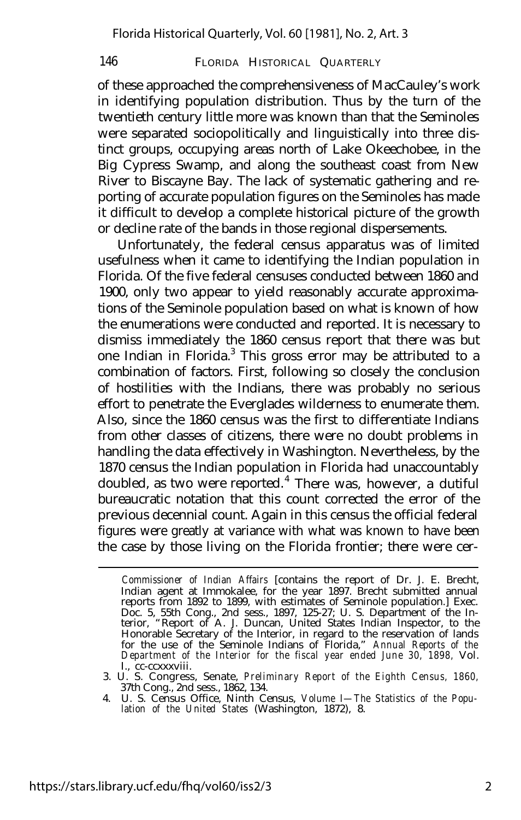of these approached the comprehensiveness of MacCauley's work in identifying population distribution. Thus by the turn of the twentieth century little more was known than that the Seminoles were separated sociopolitically and linguistically into three distinct groups, occupying areas north of Lake Okeechobee, in the Big Cypress Swamp, and along the southeast coast from New River to Biscayne Bay. The lack of systematic gathering and reporting of accurate population figures on the Seminoles has made it difficult to develop a complete historical picture of the growth or decline rate of the bands in those regional dispersements.

Unfortunately, the federal census apparatus was of limited usefulness when it came to identifying the Indian population in Florida. Of the five federal censuses conducted between 1860 and 1900, only two appear to yield reasonably accurate approximations of the Seminole population based on what is known of how the enumerations were conducted and reported. It is necessary to dismiss immediately the 1860 census report that there was but one Indian in Florida.<sup>3</sup> This gross error may be attributed to a combination of factors. First, following so closely the conclusion of hostilities with the Indians, there was probably no serious effort to penetrate the Everglades wilderness to enumerate them. Also, since the 1860 census was the first to differentiate Indians from other classes of citizens, there were no doubt problems in handling the data effectively in Washington. Nevertheless, by the 1870 census the Indian population in Florida had unaccountably doubled, as two were reported.<sup>4</sup> There was, however, a dutiful bureaucratic notation that this count corrected the error of the previous decennial count. Again in this census the official federal figures were greatly at variance with what was known to have been the case by those living on the Florida frontier; there were cer-

*Commissioner of Indian Affairs* [contains the report of Dr. J. E. Brecht, Indian agent at Immokalee, for the year 1897. Brecht submitted annual reports from 1892 to 1899, with estimates of Seminole population.] Exec. Doc. 5, 55th Cong., 2nd sess., 1897, 125-27; U. S. Department of the Interior, "Report of A. J. Duncan, United States Indian Inspector, to the Honorable Secretary of the Interior, in regard to the reservation of lands for the use of the Seminole Indians of Florida," *Annual Reports of the Department of the Interior for the fiscal year ended June 30, 1898,* Vol.

I., cc-ccxxxviii. 3. U. S. Congress, Senate, *Preliminary Report of the Eighth Census, 1860,* 37th Cong., 2nd sess., 1862, 134.

<sup>4.</sup> U. S. Census Office, Ninth Census, *Volume I— The Statistics of the Popu-lation of the United States* (Washington, 1872), 8.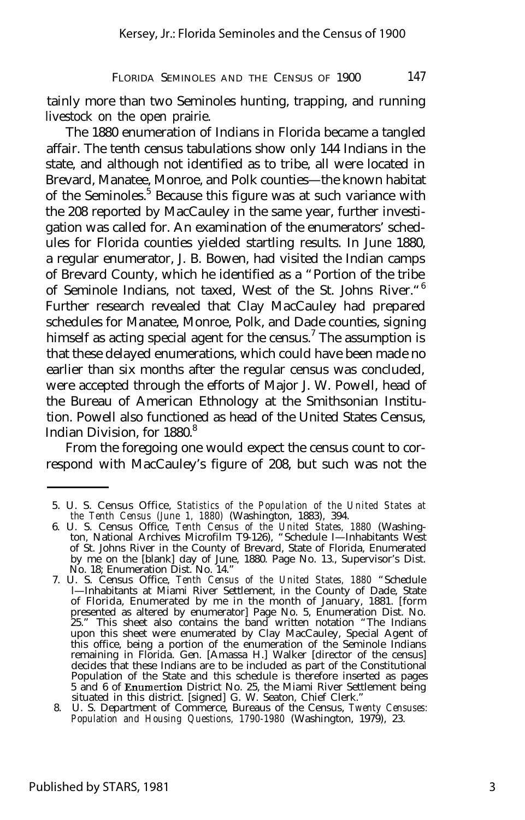tainly more than two Seminoles hunting, trapping, and running livestock on the open prairie.

The 1880 enumeration of Indians in Florida became a tangled affair. The tenth census tabulations show only 144 Indians in the state, and although not identified as to tribe, all were located in Brevard, Manatee, Monroe, and Polk counties— the known habitat of the Seminoles.<sup>5</sup> Because this figure was at such variance with the 208 reported by MacCauley in the same year, further investigation was called for. An examination of the enumerators' schedules for Florida counties yielded startling results. In June 1880, a regular enumerator, J. B. Bowen, had visited the Indian camps of Brevard County, which he identified as a "Portion of the tribe of Seminole Indians, not taxed, West of the St. Johns River."<sup>6</sup> Further research revealed that Clay MacCauley had prepared schedules for Manatee, Monroe, Polk, and Dade counties, signing himself as acting special agent for the census.<sup>7</sup> The assumption is that these delayed enumerations, which could have been made no earlier than six months after the regular census was concluded, were accepted through the efforts of Major J. W. Powell, head of the Bureau of American Ethnology at the Smithsonian Institution. Powell also functioned as head of the United States Census, Indian Division, for 1880.<sup>8</sup>

From the foregoing one would expect the census count to correspond with MacCauley's figure of 208, but such was not the

<sup>5.</sup> U. S. Census Office, *Statistics of the Population of the United States at the Tenth Census (June 1, 1880)* (Washington, 1883), 394.

<sup>6.</sup> U. S. Census Office, *Tenth Census of the United States, 1880* (Washington, National Archives Microfilm T9-126), "Schedule I— Inhabitants West of St. Johns River in the County of Brevard, State of Florida, Enumerated by me on the [blank] day of June, 1880. Page No. 13., Supervisor's Dist. No. 18; Enumeration Dist. No. 14."

<sup>7.</sup> U. S. Census Office, *Tenth Census of the United States, 1880* "Schedule l— Inhabitants at Miami River Settlement, in the County of Dade, State of Florida, Enumerated by me in the month of January, 1881. [form presented as altered by enumerator] Page No. 5, Enumeration Dist. No. 25." This sheet also contains the band written notation "The Indians upon this sheet were enumerated by Clay MacCauley, Special Agent of this office, being a portion of the enumeration of the Seminole Indians remaining in Florida. Gen. [Amassa H.] Walker [director of the census] decides that these Indians are to be included as part of the Constitutional Population of the State and this schedule is therefore inserted as pages 5 and 6 of Enumertion District No. 25, the Miami River Settlement being

situated in this district. [signed] G. W. Seaton, Chief Clerk." 8. U. S. Department of Commerce, Bureaus of the Census, *Twenty Censuses: Population and Housing Questions, 1790-1980* (Washington, 1979), 23.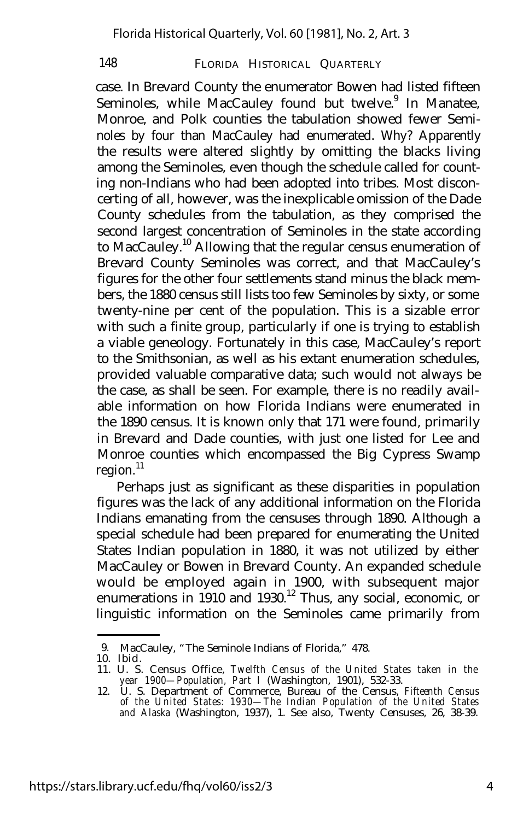case. In Brevard County the enumerator Bowen had listed fifteen Seminoles, while MacCauley found but twelve.<sup>9</sup> In Manatee, Monroe, and Polk counties the tabulation showed fewer Seminoles by four than MacCauley had enumerated. Why? Apparently the results were altered slightly by omitting the blacks living among the Seminoles, even though the schedule called for counting non-Indians who had been adopted into tribes. Most disconcerting of all, however, was the inexplicable omission of the Dade County schedules from the tabulation, as they comprised the second largest concentration of Seminoles in the state according to MacCauley.<sup>10</sup> Allowing that the regular census enumeration of Brevard County Seminoles was correct, and that MacCauley's figures for the other four settlements stand minus the black members, the 1880 census still lists too few Seminoles by sixty, or some twenty-nine per cent of the population. This is a sizable error with such a finite group, particularly if one is trying to establish a viable geneology. Fortunately in this case, MacCauley's report to the Smithsonian, as well as his extant enumeration schedules, provided valuable comparative data; such would not always be the case, as shall be seen. For example, there is no readily available information on how Florida Indians were enumerated in the 1890 census. It is known only that 171 were found, primarily in Brevard and Dade counties, with just one listed for Lee and Monroe counties which encompassed the Big Cypress Swamp  $region.<sup>11</sup>$ 

Perhaps just as significant as these disparities in population figures was the lack of any additional information on the Florida Indians emanating from the censuses through 1890. Although a special schedule had been prepared for enumerating the United States Indian population in 1880, it was not utilized by either MacCauley or Bowen in Brevard County. An expanded schedule would be employed again in 1900, with subsequent major enumerations in 1910 and 1930.<sup>12</sup> Thus, any social, economic, or linguistic information on the Seminoles came primarily from

<sup>9.</sup> MacCauley, "The Seminole Indians of Florida," 478.

<sup>10.</sup> Ibid.

<sup>11.</sup> U. S. Census Office, *Twelfth Census of the United States taken in the year 1900— Population, Part I* (Washington, 1901), 532-33.

<sup>12.</sup> U. S. Department of Commerce, Bureau of the Census, *Fifteenth Census of the United States: 1930— The Indian Population of the United States and Alaska* (Washington, 1937), 1. See also, Twenty Censuses, 26, 38-39.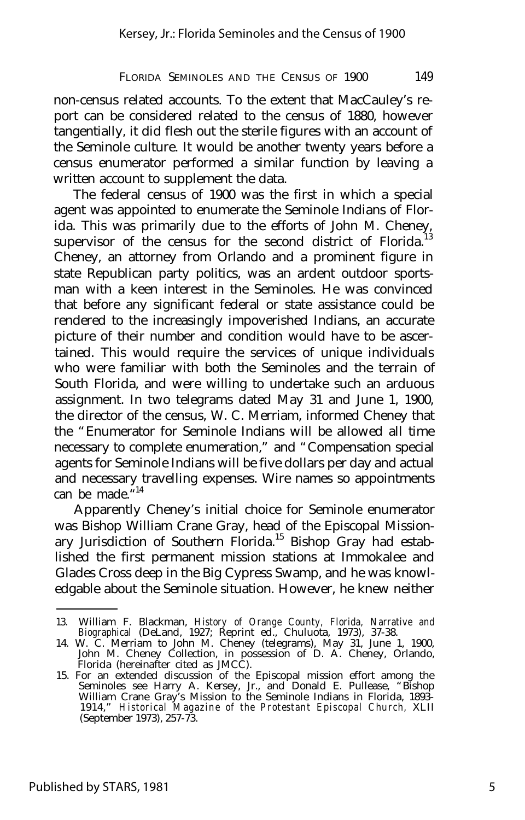non-census related accounts. To the extent that MacCauley's report can be considered related to the census of 1880, however tangentially, it did flesh out the sterile figures with an account of the Seminole culture. It would be another twenty years before a census enumerator performed a similar function by leaving a written account to supplement the data.

The federal census of 1900 was the first in which a special agent was appointed to enumerate the Seminole Indians of Florida. This was primarily due to the efforts of John M. Cheney, supervisor of the census for the second district of Florida.<sup>1</sup> Cheney, an attorney from Orlando and a prominent figure in state Republican party politics, was an ardent outdoor sportsman with a keen interest in the Seminoles. He was convinced that before any significant federal or state assistance could be rendered to the increasingly impoverished Indians, an accurate picture of their number and condition would have to be ascertained. This would require the services of unique individuals who were familiar with both the Seminoles and the terrain of South Florida, and were willing to undertake such an arduous assignment. In two telegrams dated May 31 and June 1, 1900, the director of the census, W. C. Merriam, informed Cheney that the "Enumerator for Seminole Indians will be allowed all time necessary to complete enumeration," and "Compensation special agents for Seminole Indians will be five dollars per day and actual and necessary travelling expenses. Wire names so appointments can be made." 14

Apparently Cheney's initial choice for Seminole enumerator was Bishop William Crane Gray, head of the Episcopal Missionary Jurisdiction of Southern Florida.<sup>15</sup> Bishop Gray had established the first permanent mission stations at Immokalee and Glades Cross deep in the Big Cypress Swamp, and he was knowledgable about the Seminole situation. However, he knew neither

<sup>13.</sup> William F. Blackman, *History of Orange County, Florida, Narrative and Biographical* (DeLand, 1927; Reprint ed., Chuluota, 1973), 37-38.

<sup>14.</sup> W. C. Merriam to John M. Cheney (telegrams), May 31, June 1, 1900, John M. Cheney Collection, in possession of D. A. Cheney, Orlando, Florida (hereinafter cited as JMCC).

<sup>15.</sup> For an extended discussion of the Episcopal mission effort among the Seminoles see Harry A. Kersey, Jr., and Donald E. Pullease, "Bishop William Crane Gray's Mission to the Seminole Indians in Florida, 1893- 1914," *Historical Magazine of the Protestant Episcopal Church,* XLII (September 1973), 257-73.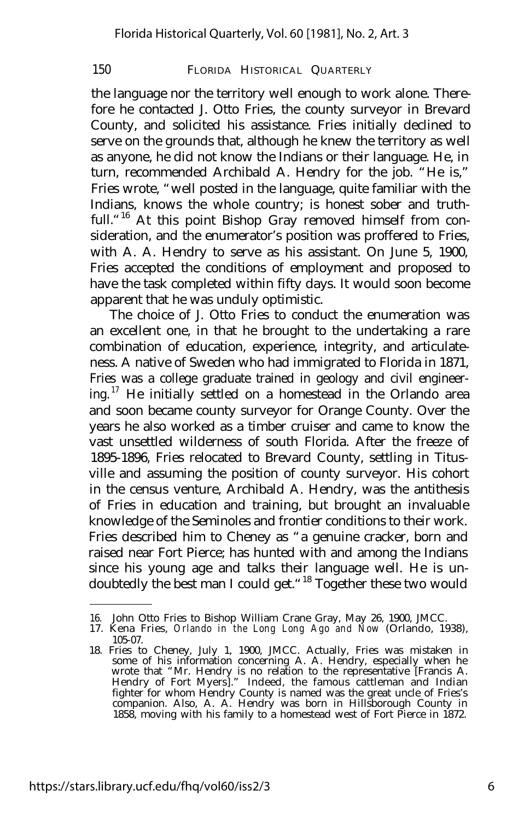the language nor the territory well enough to work alone. Therefore he contacted J. Otto Fries, the county surveyor in Brevard County, and solicited his assistance. Fries initially declined to serve on the grounds that, although he knew the territory as well as anyone, he did not know the Indians or their language. He, in turn, recommended Archibald A. Hendry for the job. "He is," Fries wrote, "well posted in the language, quite familiar with the Indians, knows the whole country; is honest sober and truthfull.<sup>"16</sup> At this point Bishop Gray removed himself from consideration, and the enumerator's position was proffered to Fries, with A. A. Hendry to serve as his assistant. On June 5, 1900, Fries accepted the conditions of employment and proposed to have the task completed within fifty days. It would soon become apparent that he was unduly optimistic.

The choice of J. Otto Fries to conduct the enumeration was an excellent one, in that he brought to the undertaking a rare combination of education, experience, integrity, and articulateness. A native of Sweden who had immigrated to Florida in 1871, Fries was a college graduate trained in geology and civil engineering.<sup>17</sup> He initially settled on a homestead in the Orlando area and soon became county surveyor for Orange County. Over the years he also worked as a timber cruiser and came to know the vast unsettled wilderness of south Florida. After the freeze of 1895-1896, Fries relocated to Brevard County, settling in Titusville and assuming the position of county surveyor. His cohort in the census venture, Archibald A. Hendry, was the antithesis of Fries in education and training, but brought an invaluable knowledge of the Seminoles and frontier conditions to their work. Fries described him to Cheney as "a genuine cracker, born and raised near Fort Pierce; has hunted with and among the Indians since his young age and talks their language well. He is undoubtedly the best man I could get."<sup>18</sup> Together these two would

<sup>16.</sup> John Otto Fries to Bishop William Crane Gray, May 26, 1900, JMCC. 17. Kena Fries, *Orlando in the Long Long Ago and Now* (Orlando, 1938),

<sup>105-07.</sup> 18. Fries to Cheney, July 1, 1900, JMCC. Actually, Fries was mistaken in some of his information concerning A. A. Hendry, especially when he wrote that "Mr. Hendry is no relation to the representative [Francis A. Hendry of Fort Myers]." Indeed, the famous cattleman and Indian fighter for whom Hendry County is named was the great uncle of Fries's companion. Also, A. A. Hendry was born in Hillsborough County in 1858, moving with his family to a homestead west of Fort Pierce in 1872.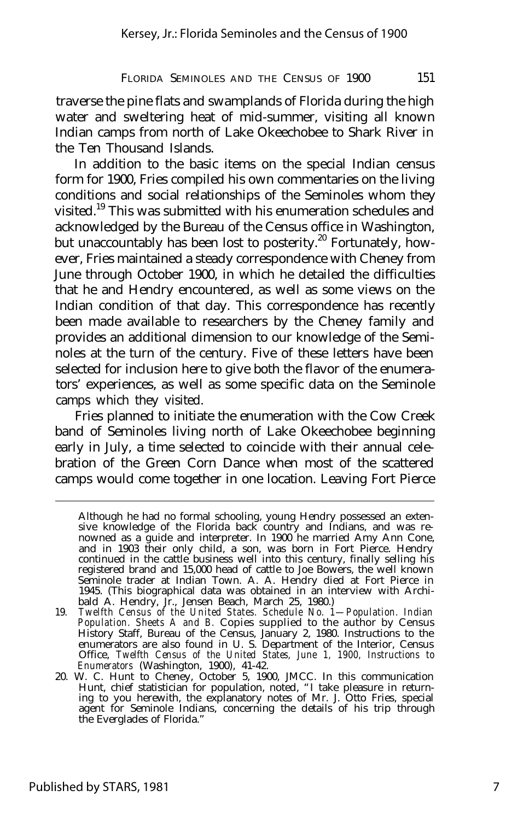traverse the pine flats and swamplands of Florida during the high water and sweltering heat of mid-summer, visiting all known Indian camps from north of Lake Okeechobee to Shark River in the Ten Thousand Islands.

In addition to the basic items on the special Indian census form for 1900, Fries compiled his own commentaries on the living conditions and social relationships of the Seminoles whom they visited.<sup>19</sup> This was submitted with his enumeration schedules and acknowledged by the Bureau of the Census office in Washington, but unaccountably has been lost to posterity.<sup>20</sup> Fortunately, however, Fries maintained a steady correspondence with Cheney from June through October 1900, in which he detailed the difficulties that he and Hendry encountered, as well as some views on the Indian condition of that day. This correspondence has recently been made available to researchers by the Cheney family and provides an additional dimension to our knowledge of the Seminoles at the turn of the century. Five of these letters have been selected for inclusion here to give both the flavor of the enumerators' experiences, as well as some specific data on the Seminole camps which they visited.

Fries planned to initiate the enumeration with the Cow Creek band of Seminoles living north of Lake Okeechobee beginning early in July, a time selected to coincide with their annual celebration of the Green Corn Dance when most of the scattered camps would come together in one location. Leaving Fort Pierce

Although he had no formal schooling, young Hendry possessed an extensive knowledge of the Florida back country and Indians, and was renowned as a guide and interpreter. In 1900 he married Amy Ann Cone, and in 1903 their only child, a son, was born in Fort Pierce. Hendry continued in the cattle business well into this century, finally selling his registered brand and 15,000 head of cattle to Joe Bowers, the well known Seminole trader at Indian Town. A. A. Hendry died at Fort Pierce in 1945. (This biographical data was obtained in an interview with Archibald A. Hendry, Jr., Jensen Beach, March 25, 1980.)

<sup>19.</sup> *Twelfth Census of the United States. Schedule No. 1— Population. Indian Population. Sheets A and B.* Copies supplied to the author by Census History Staff, Bureau of the Census, January 2, 1980. Instructions to the enumerators are also found in U. S. Department of the Interior, Census Office, *Twelfth Census of the United States, June 1, 1900, Instructions to Enumerators* (Washington, 1900), 41-42.

<sup>20.</sup> W. C. Hunt to Cheney, October 5, 1900, JMCC. In this communication Hunt, chief statistician for population, noted, "I take pleasure in return-ing to you herewith, the explanatory notes of Mr. J. Otto Fries, special agent for Seminole Indians, concerning the details of his trip through the Everglades of Florida."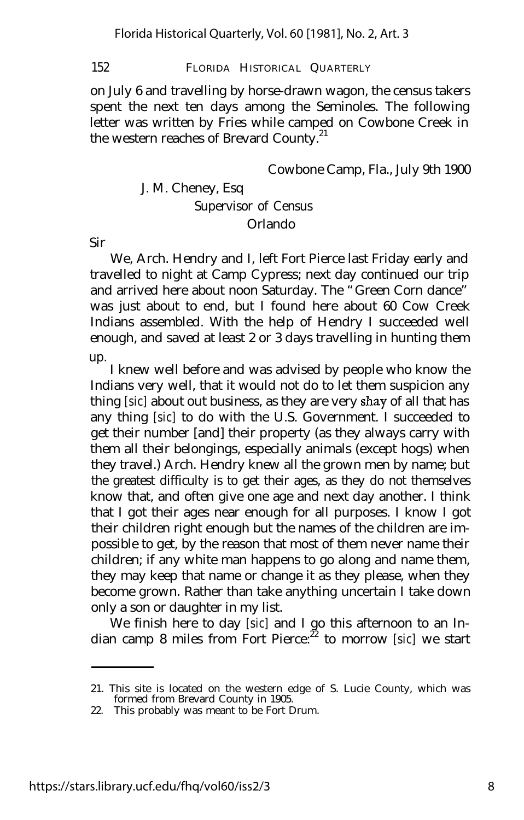on July 6 and travelling by horse-drawn wagon, the census takers spent the next ten days among the Seminoles. The following letter was written by Fries while camped on Cowbone Creek in the western reaches of Brevard County.<sup>21</sup>

Cowbone Camp, Fla., July 9th 1900

# J. M. Cheney, Esq Supervisor of Census Orlando

Sir

We, Arch. Hendry and I, left Fort Pierce last Friday early and travelled to night at Camp Cypress; next day continued our trip and arrived here about noon Saturday. The "Green Corn dance" was just about to end, but I found here about 60 Cow Creek Indians assembled. With the help of Hendry I succeeded well enough, and saved at least 2 or 3 days travelling in hunting them up.

I knew well before and was advised by people who know the Indians very well, that it would not do to let them suspicion any thing *[sic]* about out business, as they are very shay of all that has any thing *[sic]* to do with the U.S. Government. I succeeded to get their number [and] their property (as they always carry with them all their belongings, especially animals (except hogs) when they travel.) Arch. Hendry knew all the grown men by name; but the greatest difficulty is to get their ages, as they do not themselves know that, and often give one age and next day another. I think that I got their ages near enough for all purposes. I know I got their children right enough but the names of the children are impossible to get, by the reason that most of them never name their children; if any white man happens to go along and name them, they may keep that name or change it as they please, when they become grown. Rather than take anything uncertain I take down only a son or daughter in my list.

We finish here to day *[sic]* and I go this afternoon to an Indian camp 8 miles from Fort Pierce:<sup>22</sup> to morrow *[sic]* we start

<sup>21.</sup> This site is located on the western edge of S. Lucie County, which was formed from Brevard County in 1905.

<sup>22.</sup> This probably was meant to be Fort Drum.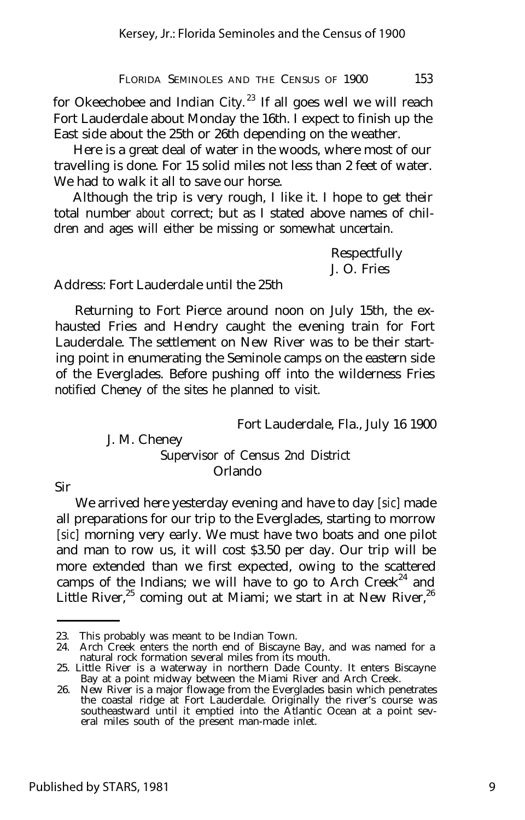for Okeechobee and Indian City.<sup>23</sup> If all goes well we will reach Fort Lauderdale about Monday the 16th. I expect to finish up the East side about the 25th or 26th depending on the weather.

Here is a great deal of water in the woods, where most of our travelling is done. For 15 solid miles not less than 2 feet of water. We had to walk it all to save our horse.

Although the trip is very rough, I like it. I hope to get their total number *about* correct; but as I stated above names of children and ages will either be missing or somewhat uncertain.

> Respectfully J. O. Fries

Address: Fort Lauderdale until the 25th

Returning to Fort Pierce around noon on July 15th, the exhausted Fries and Hendry caught the evening train for Fort Lauderdale. The settlement on New River was to be their starting point in enumerating the Seminole camps on the eastern side of the Everglades. Before pushing off into the wilderness Fries notified Cheney of the sites he planned to visit.

Fort Lauderdale, Fla., July 16 1900

J. M. Cheney Supervisor of Census 2nd District Orlando

Sir

We arrived here yesterday evening and have to day *[sic]* made all preparations for our trip to the Everglades, starting to morrow *[sic]* morning very early. We must have two boats and one pilot and man to row us, it will cost \$3.50 per day. Our trip will be more extended than we first expected, owing to the scattered camps of the Indians; we will have to go to Arch Creek<sup>24</sup> and Little River,<sup>25</sup> coming out at Miami; we start in at New River,<sup>26</sup>

<sup>23.</sup> This probably was meant to be Indian Town.

<sup>24.</sup> Arch Creek enters the north end of Biscayne Bay, and was named for a natural rock formation several miles from its mouth.

<sup>25.</sup> Little River is a waterway in northern Dade County. It enters Biscayne Bay at a point midway between the Miami River and Arch Creek.

<sup>26.</sup> New River is a major flowage from the Everglades basin which penetrates the coastal ridge at Fort Lauderdale. Originally the river's course was southeastward until it emptied into the Atlantic Ocean at a point several miles south of the present man-made inlet.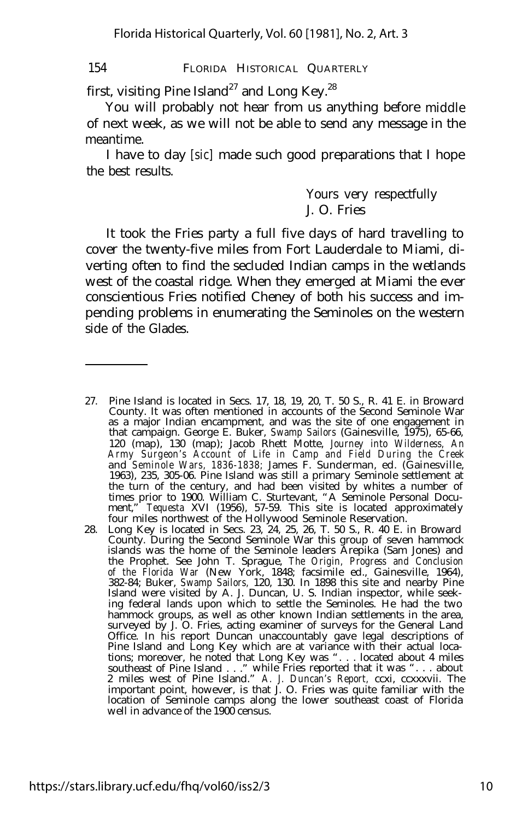first, visiting Pine Island<sup>27</sup> and Long Key.<sup>28</sup>

You will probably not hear from us anything before middle of next week, as we will not be able to send any message in the meantime.

I have to day *[sic]* made such good preparations that I hope the best results.

# Yours very respectfully J. O. Fries

It took the Fries party a full five days of hard travelling to cover the twenty-five miles from Fort Lauderdale to Miami, diverting often to find the secluded Indian camps in the wetlands west of the coastal ridge. When they emerged at Miami the ever conscientious Fries notified Cheney of both his success and impending problems in enumerating the Seminoles on the western side of the Glades.

- 27. Pine Island is located in Secs. 17, 18, 19, 20, T. 50 S., R. 41 E. in Broward County. It was often mentioned in accounts of the Second Seminole War as a major Indian encampment, and was the site of one engagement in that campaign. George E. Buker, *Swamp Sailors* (Gainesville, 1975), 65-66, 120 (map), 130 (map); Jacob Rhett Motte, *Journey into Wilderness, An Army Surgeon's Account of Life in Camp and Field During the Creek* and *Seminole Wars, 1836-1838;* James F. Sunderman, ed. (Gainesville, 1963), 235, 305-06. Pine Island was still a primary Seminole settlement at the turn of the century, and had been visited by whites a number of times prior to 1900. William C. Sturtevant, "A Seminole Personal Document," *Tequesta* XVI (1956), 57-59. This site is located approximately four miles northwest of the Hollywood Seminole Reservation.
- 28. Long Key is located in Secs. 23, 24, 25, 26, T. 50 S., R. 40 E. in Broward County. During the Second Seminole War this group of seven hammock islands was the home of the Seminole leaders Arepika (Sam Jones) and the Prophet. See John T. Sprague, *The Origin, Progress and Conclusion of the Florida War* (New York, 1848; facsimile ed., Gainesville, 1964), 382-84; Buker, *Swamp Sailors,* 120, 130. In 1898 this site and nearby Pine Island were visited by A. J. Duncan, U. S. Indian inspector, while seeking federal lands upon which to settle the Seminoles. He had the two hammock groups, as well as other known Indian settlements in the area, surveyed by J. O. Fries, acting examiner of surveys for the General Land Office. In his report Duncan unaccountably gave legal descriptions of Pine Island and Long Key which are at variance with their actual locations; moreover, he noted that Long Key was ". . . located about 4 miles southeast of Pine Island . . ." while Fries reported that it was ". . . about 2 miles west of Pine Island." *A. J. Duncan's Report,* ccxi, ccxxxvii. The important point, however, is that J. O. Fries was quite familiar with the location of Seminole camps along the lower southeast coast of Florida well in advance of the 1900 census.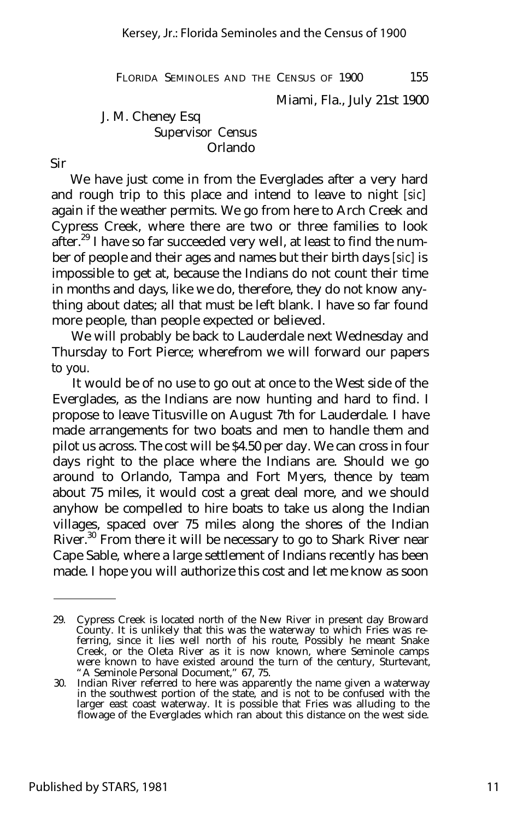Miami, Fla., July 21st 1900

J. M. Cheney Esq Supervisor Census Orlando

Sir

We have just come in from the Everglades after a very hard and rough trip to this place and intend to leave to night *[sic]* again if the weather permits. We go from here to Arch Creek and Cypress Creek, where there are two or three families to look after.<sup>29</sup> I have so far succeeded very well, at least to find the number of people and their ages and names but their birth days *[sic]* is impossible to get at, because the Indians do not count their time in months and days, like we do, therefore, they do not know anything about dates; all that must be left blank. I have so far found more people, than people expected or believed.

We will probably be back to Lauderdale next Wednesday and Thursday to Fort Pierce; wherefrom we will forward our papers to you.

It would be of no use to go out at once to the West side of the Everglades, as the Indians are now hunting and hard to find. I propose to leave Titusville on August 7th for Lauderdale. I have made arrangements for two boats and men to handle them and pilot us across. The cost will be \$4.50 per day. We can cross in four days right to the place where the Indians are. Should we go around to Orlando, Tampa and Fort Myers, thence by team about 75 miles, it would cost a great deal more, and we should anyhow be compelled to hire boats to take us along the Indian villages, spaced over 75 miles along the shores of the Indian River.<sup>30</sup> From there it will be necessary to go to Shark River near Cape Sable, where a large settlement of Indians recently has been made. I hope you will authorize this cost and let me know as soon

<sup>29.</sup> Cypress Creek is located north of the New River in present day Broward County. It is unlikely that this was the waterway to which Fries was referring, since it lies well north of his route, Possibly he meant Snake Creek, or the Oleta River as it is now known, where Seminole camps were known to have existed around the turn of the century, Sturtevant, "A Seminole Personal Document," 67, 75.

<sup>30.</sup> Indian River referred to here was apparently the name given a waterway in the southwest portion of the state, and is not to be confused with the larger east coast waterway. It is possible that Fries was alluding to the flowage of the Everglades which ran about this distance on the west side.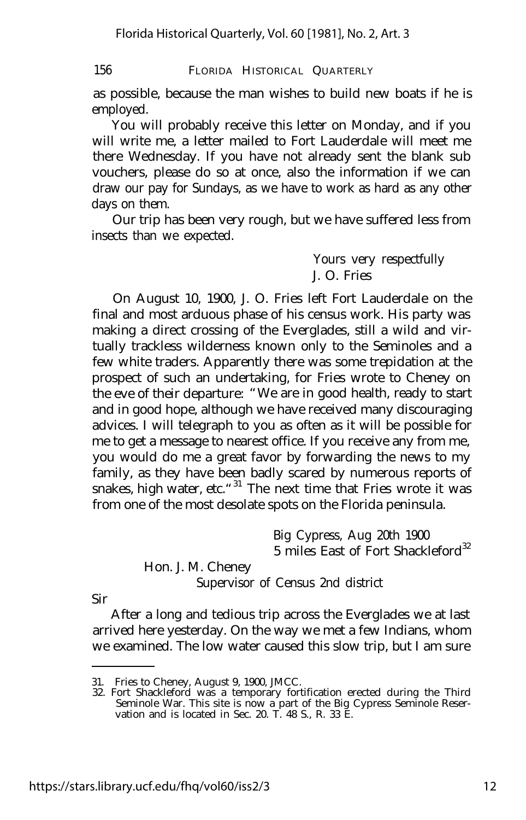as possible, because the man wishes to build new boats if he is employed.

You will probably receive this letter on Monday, and if you will write me, a letter mailed to Fort Lauderdale will meet me there Wednesday. If you have not already sent the blank sub vouchers, please do so at once, also the information if we can draw our pay for Sundays, as we have to work as hard as any other days on them.

Our trip has been very rough, but we have suffered less from insects than we expected.

> Yours very respectfully J. O. Fries

On August 10, 1900, J. O. Fries left Fort Lauderdale on the final and most arduous phase of his census work. His party was making a direct crossing of the Everglades, still a wild and virtually trackless wilderness known only to the Seminoles and a few white traders. Apparently there was some trepidation at the prospect of such an undertaking, for Fries wrote to Cheney on the eve of their departure: "We are in good health, ready to start and in good hope, although we have received many discouraging advices. I will telegraph to you as often as it will be possible for me to get a message to nearest office. If you receive any from me, you would do me a great favor by forwarding the news to my family, as they have been badly scared by numerous reports of snakes, high water, etc.<sup>"31</sup> The next time that Fries wrote it was from one of the most desolate spots on the Florida peninsula.

> Big Cypress, Aug 20th 1900 5 miles East of Fort Shackleford $^{32}$

Hon. J. M. Cheney

Supervisor of Census 2nd district

Sir

After a long and tedious trip across the Everglades we at last arrived here yesterday. On the way we met a few Indians, whom we examined. The low water caused this slow trip, but I am sure

<sup>31.</sup> Fries to Cheney, August 9, 1900, JMCC.

<sup>32.</sup> Fort Shackleford was a temporary fortification erected during the Third Seminole War. This site is now a part of the Big Cypress Seminole Reservation and is located in Sec. 20. T. 48 S., R. 33 E.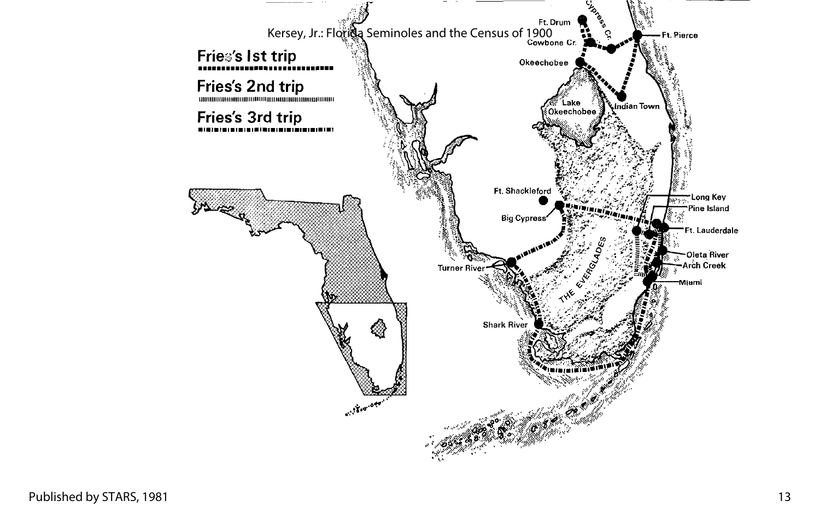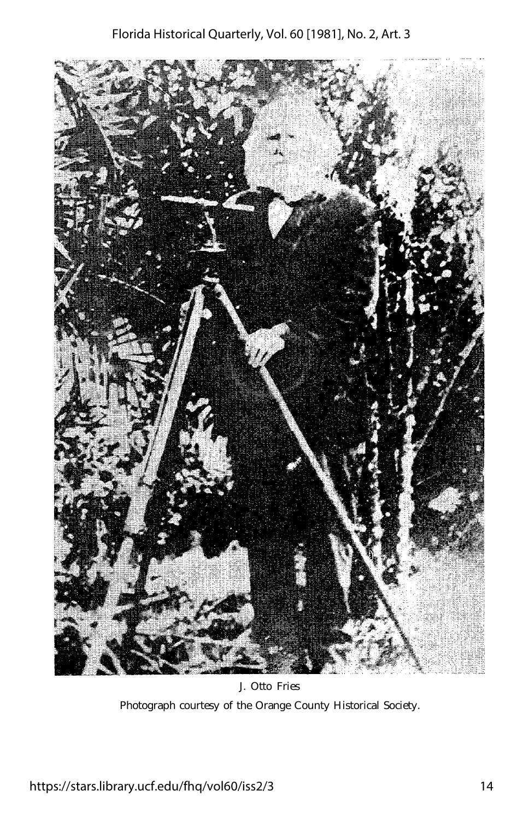

J. Otto Fries Photograph courtesy of the Orange County Historical Society.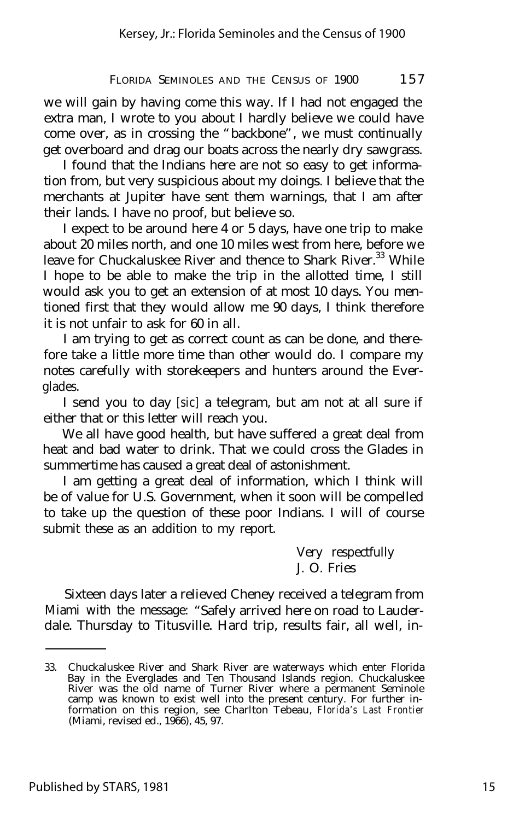we will gain by having come this way. If I had not engaged the extra man, I wrote to you about I hardly believe we could have come over, as in crossing the "backbone", we must continually get overboard and drag our boats across the nearly dry sawgrass.

I found that the Indians here are not so easy to get information from, but very suspicious about my doings. I believe that the merchants at Jupiter have sent them warnings, that I am after their lands. I have no proof, but believe so.

I expect to be around here 4 or 5 days, have one trip to make about 20 miles north, and one 10 miles west from here, before we leave for Chuckaluskee River and thence to Shark River.<sup>33</sup> While I hope to be able to make the trip in the allotted time, I still would ask you to get an extension of at most 10 days. You mentioned first that they would allow me 90 days, I think therefore it is not unfair to ask for 60 in all.

I am trying to get as correct count as can be done, and therefore take a little more time than other would do. I compare my notes carefully with storekeepers and hunters around the Everglades.

I send you to day *[sic]* a telegram, but am not at all sure if either that or this letter will reach you.

We all have good health, but have suffered a great deal from heat and bad water to drink. That we could cross the Glades in summertime has caused a great deal of astonishment.

I am getting a great deal of information, which I think will be of value for U.S. Government, when it soon will be compelled to take up the question of these poor Indians. I will of course submit these as an addition to my report.

> Very respectfully J. O. Fries

Sixteen days later a relieved Cheney received a telegram from Miami with the message: "Safely arrived here on road to Lauderdale. Thursday to Titusville. Hard trip, results fair, all well, in-

<sup>33.</sup> Chuckaluskee River and Shark River are waterways which enter Florida Bay in the Everglades and Ten Thousand Islands region. Chuckaluskee River was the old name of Turner River where a permanent Seminole camp was known to exist well into the present century. For further information on this region, see Charlton Tebeau, *Florida's Last Frontier* (Miami, revised ed., 1966), 45, 97.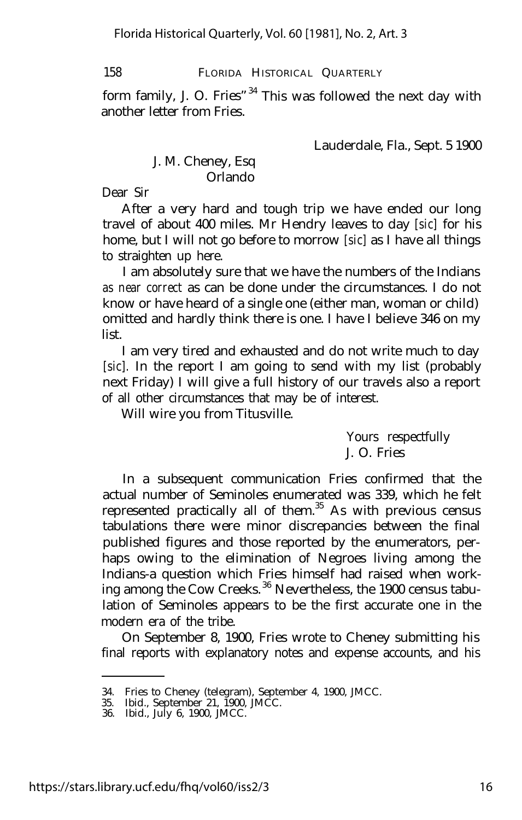form family, J. O. Fries"<sup>34</sup> This was followed the next day with another letter from Fries.

Lauderdale, Fla., Sept. 5 1900

# J. M. Cheney, Esq Orlando

Dear Sir

After a very hard and tough trip we have ended our long travel of about 400 miles. Mr Hendry leaves to day *[sic]* for his home, but I will not go before to morrow *[sic]* as I have all things to straighten up here.

I am absolutely sure that we have the numbers of the Indians *as near correct* as can be done under the circumstances. I do not know or have heard of a single one (either man, woman or child) omitted and hardly think there is one. I have I believe 346 on my list.

I am very tired and exhausted and do not write much to day *[sic].* In the report I am going to send with my list (probably next Friday) I will give a full history of our travels also a report of all other circumstances that may be of interest.

Will wire you from Titusville.

Yours respectfully J. O. Fries

In a subsequent communication Fries confirmed that the actual number of Seminoles enumerated was 339, which he felt represented practically all of them.<sup>35</sup> As with previous census tabulations there were minor discrepancies between the final published figures and those reported by the enumerators, perhaps owing to the elimination of Negroes living among the Indians-a question which Fries himself had raised when working among the Cow Creeks. <sup>36</sup> Nevertheless, the 1900 census tabulation of Seminoles appears to be the first accurate one in the modern era of the tribe.

On September 8, 1900, Fries wrote to Cheney submitting his final reports with explanatory notes and expense accounts, and his

<sup>34.</sup> Fries to Cheney (telegram), September 4, 1900, JMCC.

<sup>35.</sup> Ibid., September 21, 1900, JMCC.

<sup>36.</sup> Ibid., July 6, 1900, JMCC.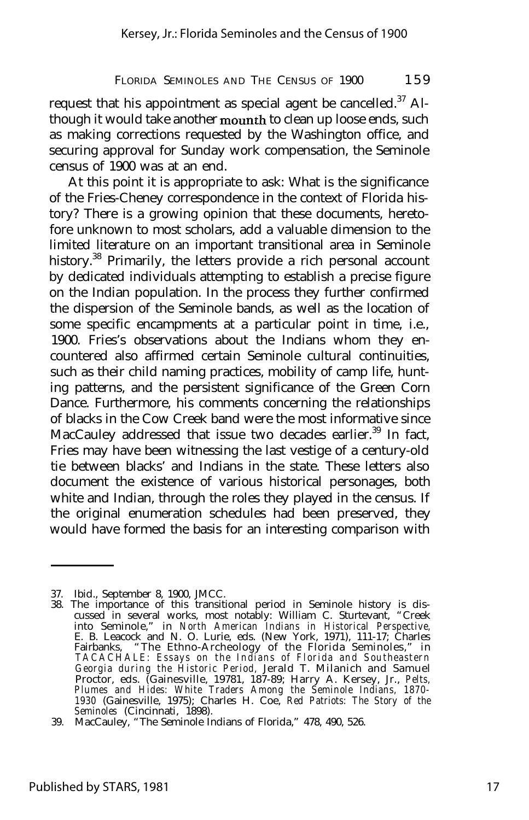request that his appointment as special agent be cancelled. $37$  Although it would take another mounth to clean up loose ends, such as making corrections requested by the Washington office, and securing approval for Sunday work compensation, the Seminole census of 1900 was at an end.

At this point it is appropriate to ask: What is the significance of the Fries-Cheney correspondence in the context of Florida history? There is a growing opinion that these documents, heretofore unknown to most scholars, add a valuable dimension to the limited literature on an important transitional area in Seminole history.<sup>38</sup> Primarily, the letters provide a rich personal account by dedicated individuals attempting to establish a precise figure on the Indian population. In the process they further confirmed the dispersion of the Seminole bands, as well as the location of some specific encampments at a particular point in time, i.e., 1900. Fries's observations about the Indians whom they encountered also affirmed certain Seminole cultural continuities, such as their child naming practices, mobility of camp life, hunting patterns, and the persistent significance of the Green Corn Dance. Furthermore, his comments concerning the relationships of blacks in the Cow Creek band were the most informative since MacCauley addressed that issue two decades earlier.<sup>39</sup> In fact, Fries may have been witnessing the last vestige of a century-old tie between blacks' and Indians in the state. These letters also document the existence of various historical personages, both white and Indian, through the roles they played in the census. If the original enumeration schedules had been preserved, they would have formed the basis for an interesting comparison with

<sup>37.</sup> Ibid., September 8, 1900, JMCC.

<sup>38.</sup> The importance of this transitional period in Seminole history is discussed in several works, most notably: William C. Sturtevant, "Creek into Seminole," in *North American Indians in Historical Perspective,* E. B. Leacock and N. O. Lurie, eds. (New York, 1971), 111-17; Charles Fairbanks, "The Ethno-Archeology of the Florida Seminoles," in *TACACHALE: Essays on the Indians of Florida and Southeastern Georgia during the Historic Period,* Jerald T. Milanich and Samuel Proctor, eds. (Gainesville, 19781, 187-89; Harry A. Kersey, Jr., *Pelts, Plumes and Hides: White Traders Among the Seminole Indians, 1870- 1930* (Gainesville, 1975); Charles H. Coe, *Red Patriots: The Story of the Seminoles* (Cincinnati, 1898).

<sup>39.</sup> MacCauley, "The Seminole Indians of Florida," 478, 490, 526.